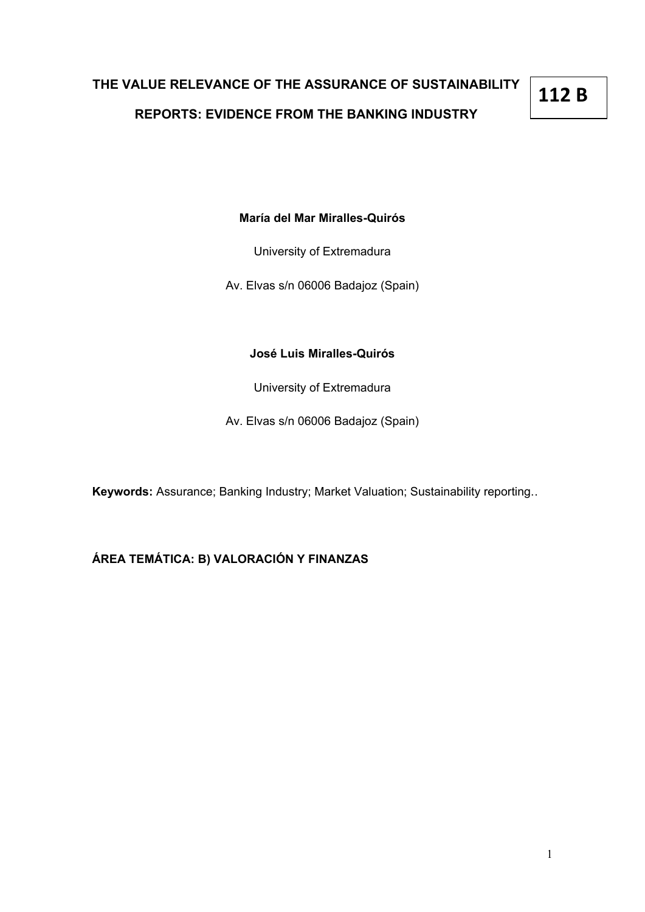**112 B** 

# **María del Mar Miralles-Quirós**

University of Extremadura

Av. Elvas s/n 06006 Badajoz (Spain)

# **José Luis Miralles-Quirós**

University of Extremadura

Av. Elvas s/n 06006 Badajoz (Spain)

**Keywords:** Assurance; Banking Industry; Market Valuation; Sustainability reporting..

# **ÁREA TEMÁTICA: B) VALORACIÓN Y FINANZAS**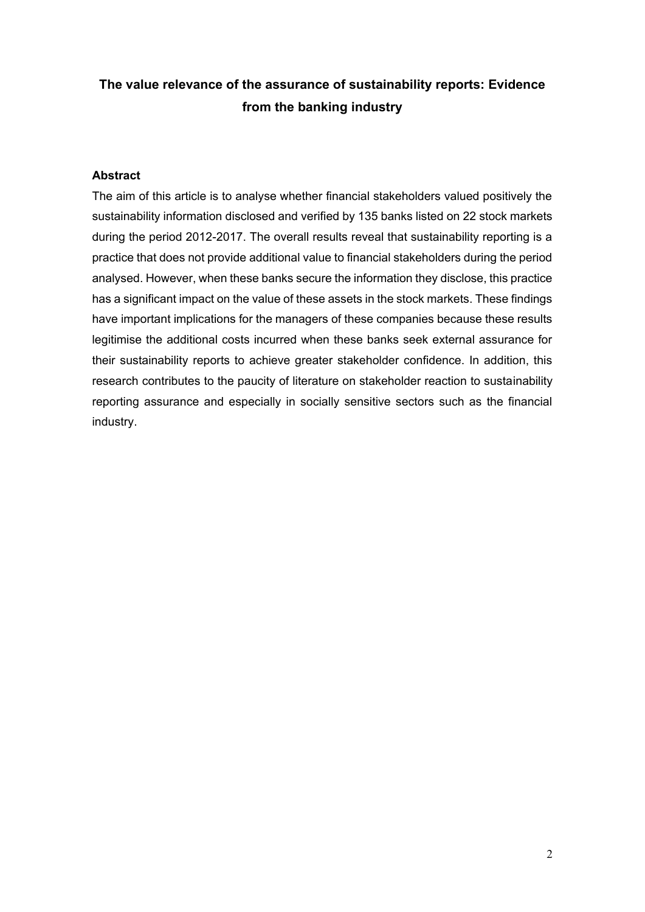# **The value relevance of the assurance of sustainability reports: Evidence from the banking industry**

## **Abstract**

The aim of this article is to analyse whether financial stakeholders valued positively the sustainability information disclosed and verified by 135 banks listed on 22 stock markets during the period 2012-2017. The overall results reveal that sustainability reporting is a practice that does not provide additional value to financial stakeholders during the period analysed. However, when these banks secure the information they disclose, this practice has a significant impact on the value of these assets in the stock markets. These findings have important implications for the managers of these companies because these results legitimise the additional costs incurred when these banks seek external assurance for their sustainability reports to achieve greater stakeholder confidence. In addition, this research contributes to the paucity of literature on stakeholder reaction to sustainability reporting assurance and especially in socially sensitive sectors such as the financial industry.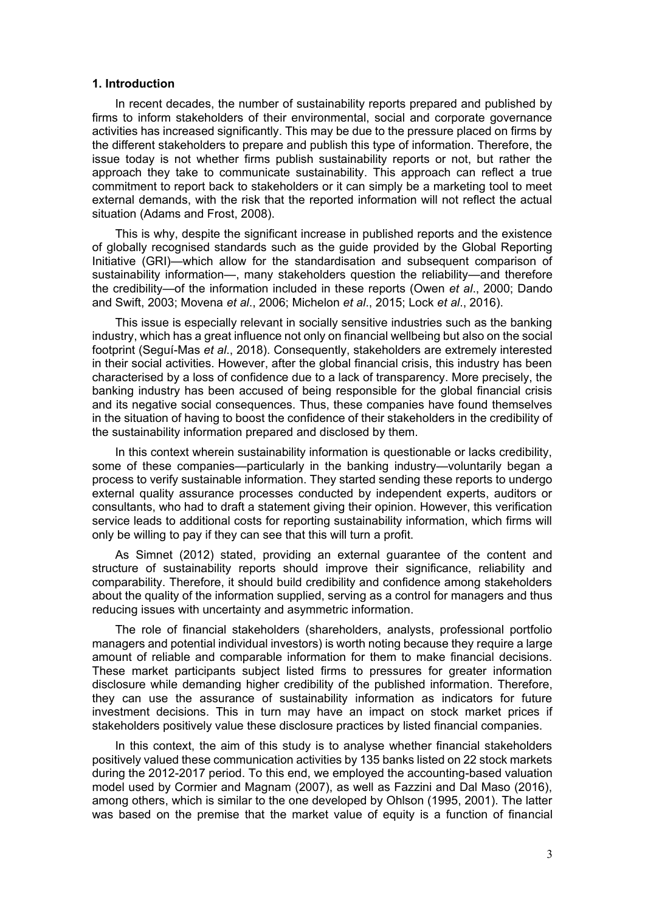#### **1. Introduction**

In recent decades, the number of sustainability reports prepared and published by firms to inform stakeholders of their environmental, social and corporate governance activities has increased significantly. This may be due to the pressure placed on firms by the different stakeholders to prepare and publish this type of information. Therefore, the issue today is not whether firms publish sustainability reports or not, but rather the approach they take to communicate sustainability. This approach can reflect a true commitment to report back to stakeholders or it can simply be a marketing tool to meet external demands, with the risk that the reported information will not reflect the actual situation (Adams and Frost, 2008).

This is why, despite the significant increase in published reports and the existence of globally recognised standards such as the guide provided by the Global Reporting Initiative (GRI)—which allow for the standardisation and subsequent comparison of sustainability information—, many stakeholders question the reliability—and therefore the credibility—of the information included in these reports (Owen *et al*., 2000; Dando and Swift, 2003; Movena *et al*., 2006; Michelon *et al*., 2015; Lock *et al*., 2016).

This issue is especially relevant in socially sensitive industries such as the banking industry, which has a great influence not only on financial wellbeing but also on the social footprint (Seguí-Mas *et al*., 2018). Consequently, stakeholders are extremely interested in their social activities. However, after the global financial crisis, this industry has been characterised by a loss of confidence due to a lack of transparency. More precisely, the banking industry has been accused of being responsible for the global financial crisis and its negative social consequences. Thus, these companies have found themselves in the situation of having to boost the confidence of their stakeholders in the credibility of the sustainability information prepared and disclosed by them.

In this context wherein sustainability information is questionable or lacks credibility, some of these companies—particularly in the banking industry—voluntarily began a process to verify sustainable information. They started sending these reports to undergo external quality assurance processes conducted by independent experts, auditors or consultants, who had to draft a statement giving their opinion. However, this verification service leads to additional costs for reporting sustainability information, which firms will only be willing to pay if they can see that this will turn a profit.

As Simnet (2012) stated, providing an external guarantee of the content and structure of sustainability reports should improve their significance, reliability and comparability. Therefore, it should build credibility and confidence among stakeholders about the quality of the information supplied, serving as a control for managers and thus reducing issues with uncertainty and asymmetric information.

The role of financial stakeholders (shareholders, analysts, professional portfolio managers and potential individual investors) is worth noting because they require a large amount of reliable and comparable information for them to make financial decisions. These market participants subject listed firms to pressures for greater information disclosure while demanding higher credibility of the published information. Therefore, they can use the assurance of sustainability information as indicators for future investment decisions. This in turn may have an impact on stock market prices if stakeholders positively value these disclosure practices by listed financial companies.

In this context, the aim of this study is to analyse whether financial stakeholders positively valued these communication activities by 135 banks listed on 22 stock markets during the 2012-2017 period. To this end, we employed the accounting-based valuation model used by Cormier and Magnam (2007), as well as Fazzini and Dal Maso (2016), among others, which is similar to the one developed by Ohlson (1995, 2001). The latter was based on the premise that the market value of equity is a function of financial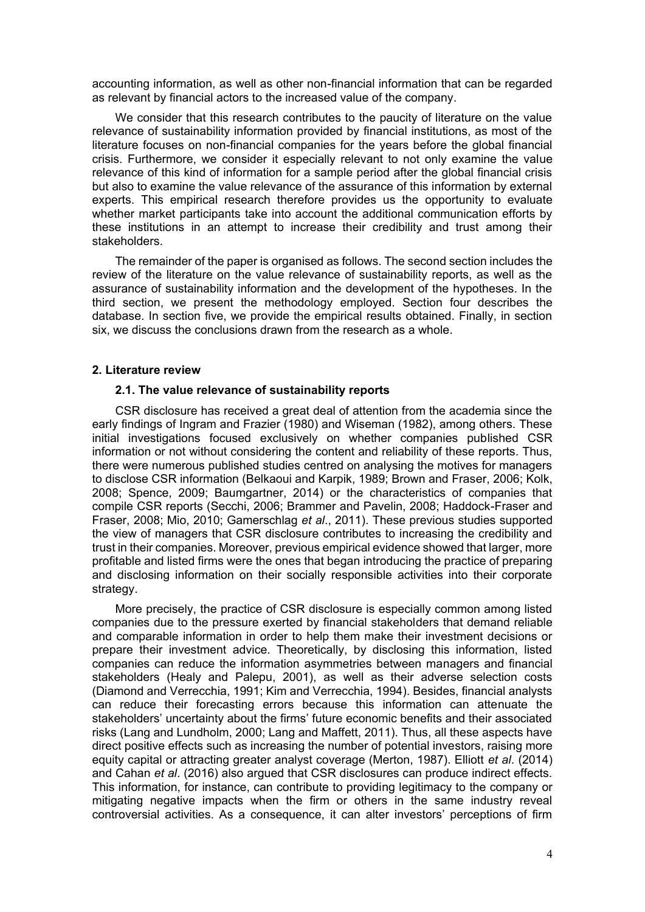accounting information, as well as other non-financial information that can be regarded as relevant by financial actors to the increased value of the company.

We consider that this research contributes to the paucity of literature on the value relevance of sustainability information provided by financial institutions, as most of the literature focuses on non-financial companies for the years before the global financial crisis. Furthermore, we consider it especially relevant to not only examine the value relevance of this kind of information for a sample period after the global financial crisis but also to examine the value relevance of the assurance of this information by external experts. This empirical research therefore provides us the opportunity to evaluate whether market participants take into account the additional communication efforts by these institutions in an attempt to increase their credibility and trust among their stakeholders.

The remainder of the paper is organised as follows. The second section includes the review of the literature on the value relevance of sustainability reports, as well as the assurance of sustainability information and the development of the hypotheses. In the third section, we present the methodology employed. Section four describes the database. In section five, we provide the empirical results obtained. Finally, in section six, we discuss the conclusions drawn from the research as a whole.

#### **2. Literature review**

#### **2.1. The value relevance of sustainability reports**

CSR disclosure has received a great deal of attention from the academia since the early findings of Ingram and Frazier (1980) and Wiseman (1982), among others. These initial investigations focused exclusively on whether companies published CSR information or not without considering the content and reliability of these reports. Thus, there were numerous published studies centred on analysing the motives for managers to disclose CSR information (Belkaoui and Karpik, 1989; Brown and Fraser, 2006; Kolk, 2008; Spence, 2009; Baumgartner, 2014) or the characteristics of companies that compile CSR reports (Secchi, 2006; Brammer and Pavelin, 2008; Haddock-Fraser and Fraser, 2008; Mio, 2010; Gamerschlag *et al*., 2011). These previous studies supported the view of managers that CSR disclosure contributes to increasing the credibility and trust in their companies. Moreover, previous empirical evidence showed that larger, more profitable and listed firms were the ones that began introducing the practice of preparing and disclosing information on their socially responsible activities into their corporate strategy.

More precisely, the practice of CSR disclosure is especially common among listed companies due to the pressure exerted by financial stakeholders that demand reliable and comparable information in order to help them make their investment decisions or prepare their investment advice. Theoretically, by disclosing this information, listed companies can reduce the information asymmetries between managers and financial stakeholders (Healy and Palepu, 2001), as well as their adverse selection costs (Diamond and Verrecchia, 1991; Kim and Verrecchia, 1994). Besides, financial analysts can reduce their forecasting errors because this information can attenuate the stakeholders' uncertainty about the firms' future economic benefits and their associated risks (Lang and Lundholm, 2000; Lang and Maffett, 2011). Thus, all these aspects have direct positive effects such as increasing the number of potential investors, raising more equity capital or attracting greater analyst coverage (Merton, 1987). Elliott *et al*. (2014) and Cahan *et al*. (2016) also argued that CSR disclosures can produce indirect effects. This information, for instance, can contribute to providing legitimacy to the company or mitigating negative impacts when the firm or others in the same industry reveal controversial activities. As a consequence, it can alter investors' perceptions of firm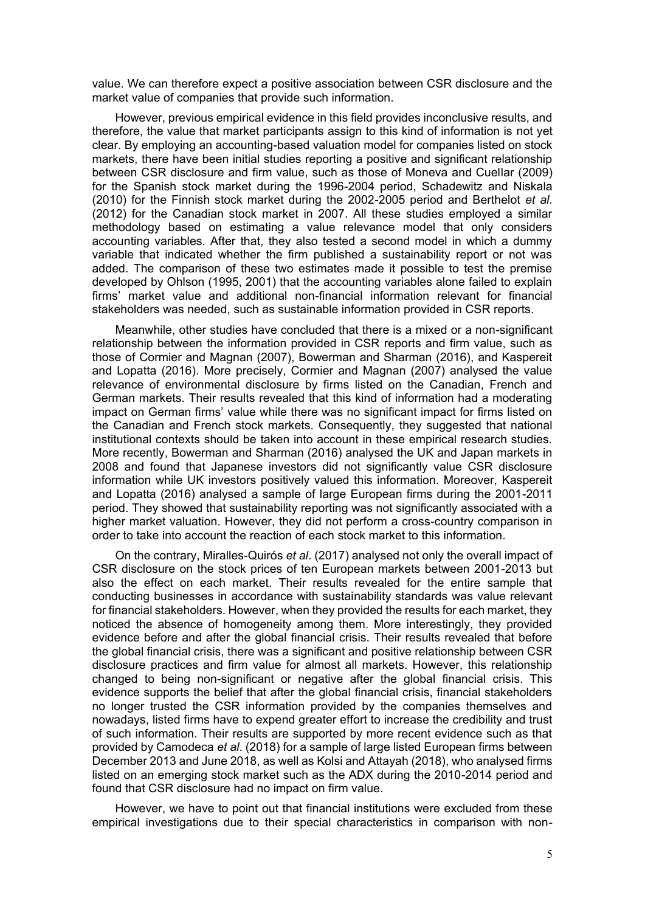value. We can therefore expect a positive association between CSR disclosure and the market value of companies that provide such information.

However, previous empirical evidence in this field provides inconclusive results, and therefore, the value that market participants assign to this kind of information is not yet clear. By employing an accounting-based valuation model for companies listed on stock markets, there have been initial studies reporting a positive and significant relationship between CSR disclosure and firm value, such as those of Moneva and Cuellar (2009) for the Spanish stock market during the 1996-2004 period, Schadewitz and Niskala (2010) for the Finnish stock market during the 2002-2005 period and Berthelot *et al.* (2012) for the Canadian stock market in 2007. All these studies employed a similar methodology based on estimating a value relevance model that only considers accounting variables. After that, they also tested a second model in which a dummy variable that indicated whether the firm published a sustainability report or not was added. The comparison of these two estimates made it possible to test the premise developed by Ohlson (1995, 2001) that the accounting variables alone failed to explain firms' market value and additional non-financial information relevant for financial stakeholders was needed, such as sustainable information provided in CSR reports.

Meanwhile, other studies have concluded that there is a mixed or a non-significant relationship between the information provided in CSR reports and firm value, such as those of Cormier and Magnan (2007), Bowerman and Sharman (2016), and Kaspereit and Lopatta (2016). More precisely, Cormier and Magnan (2007) analysed the value relevance of environmental disclosure by firms listed on the Canadian, French and German markets. Their results revealed that this kind of information had a moderating impact on German firms' value while there was no significant impact for firms listed on the Canadian and French stock markets. Consequently, they suggested that national institutional contexts should be taken into account in these empirical research studies. More recently, Bowerman and Sharman (2016) analysed the UK and Japan markets in 2008 and found that Japanese investors did not significantly value CSR disclosure information while UK investors positively valued this information. Moreover, Kaspereit and Lopatta (2016) analysed a sample of large European firms during the 2001-2011 period. They showed that sustainability reporting was not significantly associated with a higher market valuation. However, they did not perform a cross-country comparison in order to take into account the reaction of each stock market to this information.

On the contrary, Miralles-Quirós *et al*. (2017) analysed not only the overall impact of CSR disclosure on the stock prices of ten European markets between 2001-2013 but also the effect on each market. Their results revealed for the entire sample that conducting businesses in accordance with sustainability standards was value relevant for financial stakeholders. However, when they provided the results for each market, they noticed the absence of homogeneity among them. More interestingly, they provided evidence before and after the global financial crisis. Their results revealed that before the global financial crisis, there was a significant and positive relationship between CSR disclosure practices and firm value for almost all markets. However, this relationship changed to being non-significant or negative after the global financial crisis. This evidence supports the belief that after the global financial crisis, financial stakeholders no longer trusted the CSR information provided by the companies themselves and nowadays, listed firms have to expend greater effort to increase the credibility and trust of such information. Their results are supported by more recent evidence such as that provided by Camodeca *et al*. (2018) for a sample of large listed European firms between December 2013 and June 2018, as well as Kolsi and Attayah (2018), who analysed firms listed on an emerging stock market such as the ADX during the 2010-2014 period and found that CSR disclosure had no impact on firm value.

However, we have to point out that financial institutions were excluded from these empirical investigations due to their special characteristics in comparison with non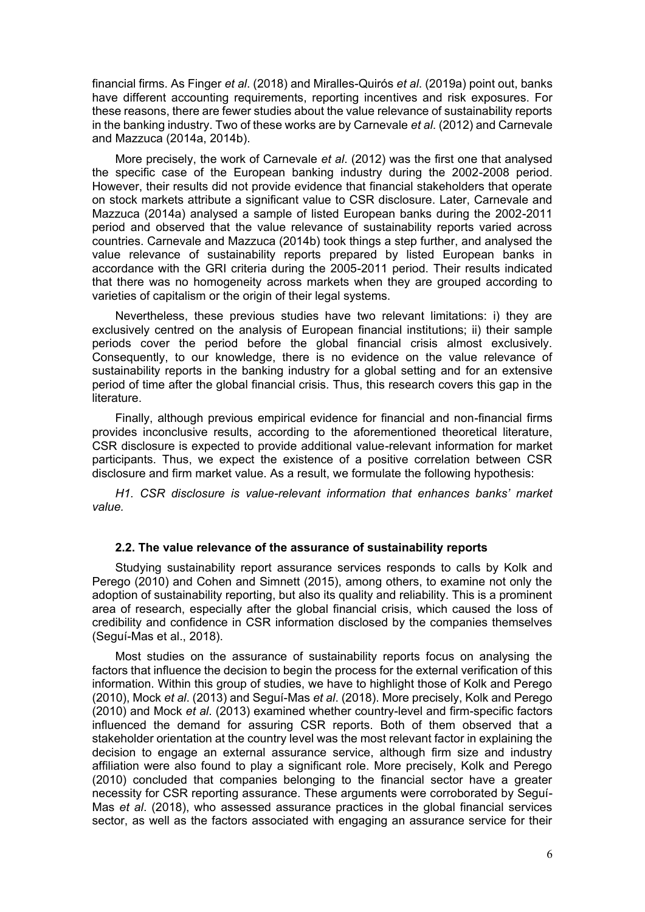financial firms. As Finger *et al*. (2018) and Miralles-Quirós *et al*. (2019a) point out, banks have different accounting requirements, reporting incentives and risk exposures. For these reasons, there are fewer studies about the value relevance of sustainability reports in the banking industry. Two of these works are by Carnevale *et al*. (2012) and Carnevale and Mazzuca (2014a, 2014b).

More precisely, the work of Carnevale *et al*. (2012) was the first one that analysed the specific case of the European banking industry during the 2002-2008 period. However, their results did not provide evidence that financial stakeholders that operate on stock markets attribute a significant value to CSR disclosure. Later, Carnevale and Mazzuca (2014a) analysed a sample of listed European banks during the 2002-2011 period and observed that the value relevance of sustainability reports varied across countries. Carnevale and Mazzuca (2014b) took things a step further, and analysed the value relevance of sustainability reports prepared by listed European banks in accordance with the GRI criteria during the 2005-2011 period. Their results indicated that there was no homogeneity across markets when they are grouped according to varieties of capitalism or the origin of their legal systems.

Nevertheless, these previous studies have two relevant limitations: i) they are exclusively centred on the analysis of European financial institutions; ii) their sample periods cover the period before the global financial crisis almost exclusively. Consequently, to our knowledge, there is no evidence on the value relevance of sustainability reports in the banking industry for a global setting and for an extensive period of time after the global financial crisis. Thus, this research covers this gap in the literature.

Finally, although previous empirical evidence for financial and non-financial firms provides inconclusive results, according to the aforementioned theoretical literature, CSR disclosure is expected to provide additional value-relevant information for market participants. Thus, we expect the existence of a positive correlation between CSR disclosure and firm market value. As a result, we formulate the following hypothesis:

*H1. CSR disclosure is value-relevant information that enhances banks' market value.*

#### **2.2. The value relevance of the assurance of sustainability reports**

Studying sustainability report assurance services responds to calls by Kolk and Perego (2010) and Cohen and Simnett (2015), among others, to examine not only the adoption of sustainability reporting, but also its quality and reliability. This is a prominent area of research, especially after the global financial crisis, which caused the loss of credibility and confidence in CSR information disclosed by the companies themselves (Seguí-Mas et al., 2018).

Most studies on the assurance of sustainability reports focus on analysing the factors that influence the decision to begin the process for the external verification of this information. Within this group of studies, we have to highlight those of Kolk and Perego (2010), Mock *et al*. (2013) and Seguí-Mas *et al*. (2018). More precisely, Kolk and Perego (2010) and Mock *et al*. (2013) examined whether country-level and firm-specific factors influenced the demand for assuring CSR reports. Both of them observed that a stakeholder orientation at the country level was the most relevant factor in explaining the decision to engage an external assurance service, although firm size and industry affiliation were also found to play a significant role. More precisely, Kolk and Perego (2010) concluded that companies belonging to the financial sector have a greater necessity for CSR reporting assurance. These arguments were corroborated by Seguí-Mas *et al*. (2018), who assessed assurance practices in the global financial services sector, as well as the factors associated with engaging an assurance service for their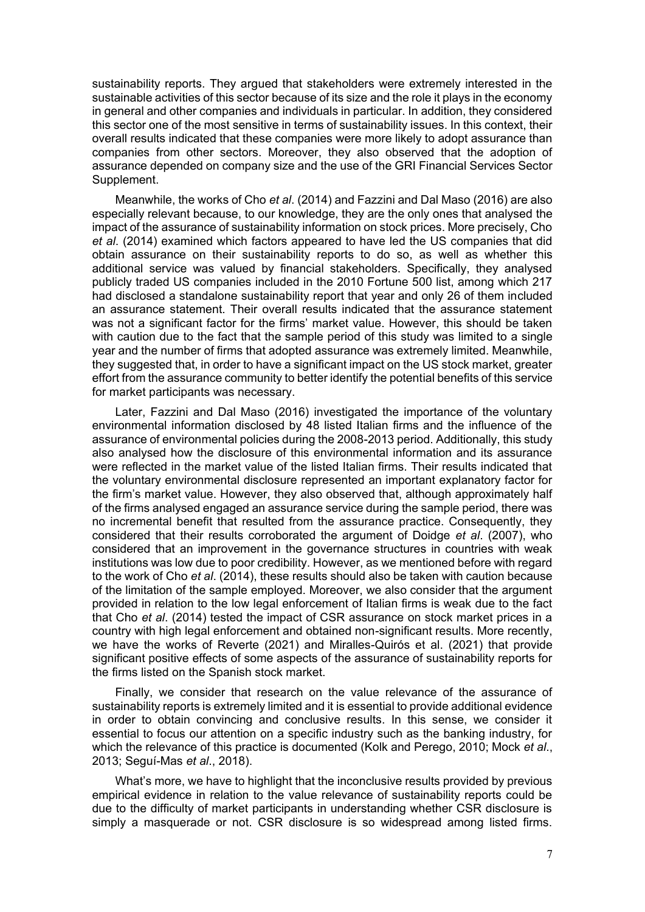sustainability reports. They argued that stakeholders were extremely interested in the sustainable activities of this sector because of its size and the role it plays in the economy in general and other companies and individuals in particular. In addition, they considered this sector one of the most sensitive in terms of sustainability issues. In this context, their overall results indicated that these companies were more likely to adopt assurance than companies from other sectors. Moreover, they also observed that the adoption of assurance depended on company size and the use of the GRI Financial Services Sector Supplement.

Meanwhile, the works of Cho *et al*. (2014) and Fazzini and Dal Maso (2016) are also especially relevant because, to our knowledge, they are the only ones that analysed the impact of the assurance of sustainability information on stock prices. More precisely, Cho *et al*. (2014) examined which factors appeared to have led the US companies that did obtain assurance on their sustainability reports to do so, as well as whether this additional service was valued by financial stakeholders. Specifically, they analysed publicly traded US companies included in the 2010 Fortune 500 list, among which 217 had disclosed a standalone sustainability report that year and only 26 of them included an assurance statement. Their overall results indicated that the assurance statement was not a significant factor for the firms' market value. However, this should be taken with caution due to the fact that the sample period of this study was limited to a single year and the number of firms that adopted assurance was extremely limited. Meanwhile, they suggested that, in order to have a significant impact on the US stock market, greater effort from the assurance community to better identify the potential benefits of this service for market participants was necessary.

Later, Fazzini and Dal Maso (2016) investigated the importance of the voluntary environmental information disclosed by 48 listed Italian firms and the influence of the assurance of environmental policies during the 2008-2013 period. Additionally, this study also analysed how the disclosure of this environmental information and its assurance were reflected in the market value of the listed Italian firms. Their results indicated that the voluntary environmental disclosure represented an important explanatory factor for the firm's market value. However, they also observed that, although approximately half of the firms analysed engaged an assurance service during the sample period, there was no incremental benefit that resulted from the assurance practice. Consequently, they considered that their results corroborated the argument of Doidge *et al*. (2007), who considered that an improvement in the governance structures in countries with weak institutions was low due to poor credibility. However, as we mentioned before with regard to the work of Cho *et al*. (2014), these results should also be taken with caution because of the limitation of the sample employed. Moreover, we also consider that the argument provided in relation to the low legal enforcement of Italian firms is weak due to the fact that Cho *et al*. (2014) tested the impact of CSR assurance on stock market prices in a country with high legal enforcement and obtained non-significant results. More recently, we have the works of Reverte (2021) and Miralles-Quirós et al. (2021) that provide significant positive effects of some aspects of the assurance of sustainability reports for the firms listed on the Spanish stock market.

Finally, we consider that research on the value relevance of the assurance of sustainability reports is extremely limited and it is essential to provide additional evidence in order to obtain convincing and conclusive results. In this sense, we consider it essential to focus our attention on a specific industry such as the banking industry, for which the relevance of this practice is documented (Kolk and Perego, 2010; Mock *et al*., 2013; Seguí-Mas *et al*., 2018).

What's more, we have to highlight that the inconclusive results provided by previous empirical evidence in relation to the value relevance of sustainability reports could be due to the difficulty of market participants in understanding whether CSR disclosure is simply a masquerade or not. CSR disclosure is so widespread among listed firms.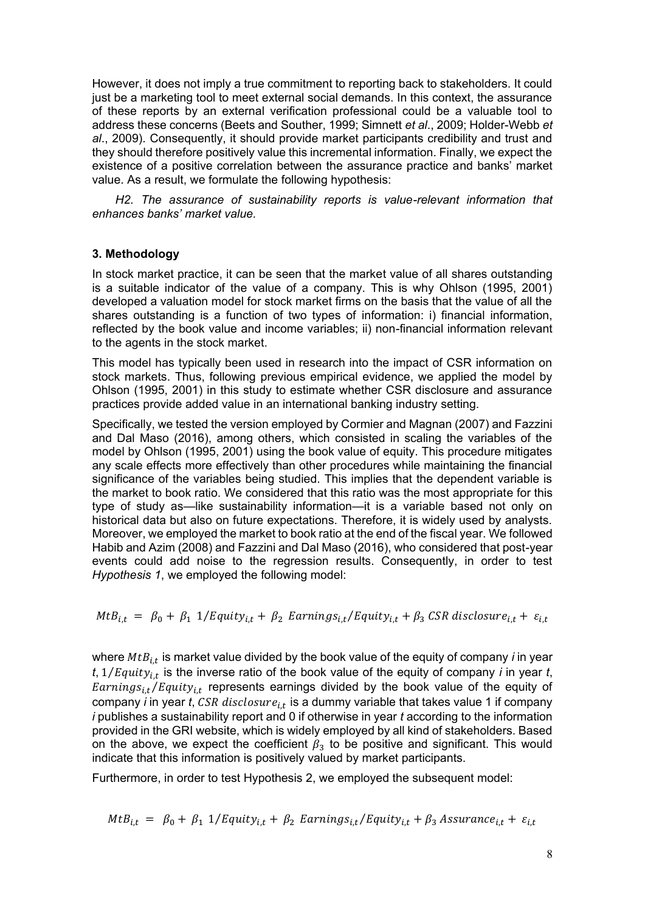However, it does not imply a true commitment to reporting back to stakeholders. It could just be a marketing tool to meet external social demands. In this context, the assurance of these reports by an external verification professional could be a valuable tool to address these concerns (Beets and Souther, 1999; Simnett *et al*., 2009; Holder-Webb *et al*., 2009). Consequently, it should provide market participants credibility and trust and they should therefore positively value this incremental information. Finally, we expect the existence of a positive correlation between the assurance practice and banks' market value. As a result, we formulate the following hypothesis:

*H2. The assurance of sustainability reports is value-relevant information that enhances banks' market value.*

## **3. Methodology**

In stock market practice, it can be seen that the market value of all shares outstanding is a suitable indicator of the value of a company. This is why Ohlson (1995, 2001) developed a valuation model for stock market firms on the basis that the value of all the shares outstanding is a function of two types of information: i) financial information, reflected by the book value and income variables; ii) non-financial information relevant to the agents in the stock market.

This model has typically been used in research into the impact of CSR information on stock markets. Thus, following previous empirical evidence, we applied the model by Ohlson (1995, 2001) in this study to estimate whether CSR disclosure and assurance practices provide added value in an international banking industry setting.

Specifically, we tested the version employed by Cormier and Magnan (2007) and Fazzini and Dal Maso (2016), among others, which consisted in scaling the variables of the model by Ohlson (1995, 2001) using the book value of equity. This procedure mitigates any scale effects more effectively than other procedures while maintaining the financial significance of the variables being studied. This implies that the dependent variable is the market to book ratio. We considered that this ratio was the most appropriate for this type of study as—like sustainability information—it is a variable based not only on historical data but also on future expectations. Therefore, it is widely used by analysts. Moreover, we employed the market to book ratio at the end of the fiscal year. We followed Habib and Azim (2008) and Fazzini and Dal Maso (2016), who considered that post-year events could add noise to the regression results. Consequently, in order to test *Hypothesis 1*, we employed the following model:

 $MtB_{i,t} = \beta_0 + \beta_1$  1/Equity<sub>i,t</sub> +  $\beta_2$  Earnings<sub>i,t</sub>/Equity<sub>i,t</sub> +  $\beta_3$  CSR disclosure<sub>i,t</sub> +  $\varepsilon_{i,t}$ 

where  $\mathit{MtB}_{i,t}$  is market value divided by the book value of the equity of company *i* in year  $t$ ,  $1/Equity_{i,t}$  is the inverse ratio of the book value of the equity of company *i* in year  $t$ ,  $\textit{Earnings}_{i,t}/\textit{Equity}_{i,t}$  represents earnings divided by the book value of the equity of company *i* in year *t, CSR disclosure<sub>i,t</sub>* is a dummy variable that takes value 1 if company *i* publishes a sustainability report and 0 if otherwise in year *t* according to the information provided in the GRI website, which is widely employed by all kind of stakeholders. Based on the above, we expect the coefficient  $\beta_3$  to be positive and significant. This would indicate that this information is positively valued by market participants.

Furthermore, in order to test Hypothesis 2, we employed the subsequent model:

$$
MtB_{i,t} = \beta_0 + \beta_1 \ 1/Equity_{i,t} + \beta_2 \ EarningS_{i,t}/Equity_{i,t} + \beta_3 \ Assurance_{i,t} + \varepsilon_{i,t}
$$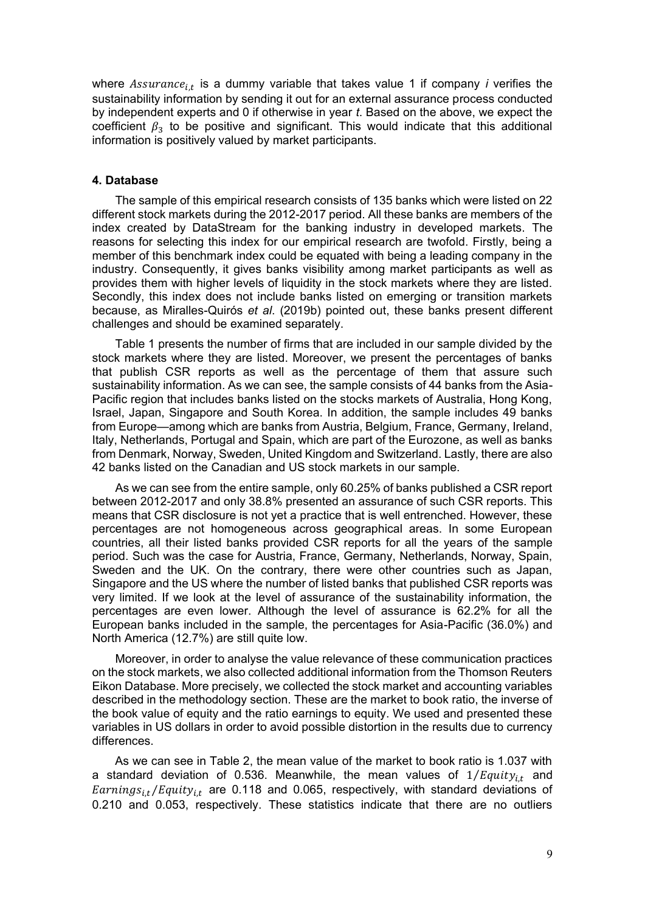where  ${\it Assume}_{i,t}$  is a dummy variable that takes value 1 if company *i* verifies the sustainability information by sending it out for an external assurance process conducted by independent experts and 0 if otherwise in year *t*. Based on the above, we expect the coefficient  $\beta_3$  to be positive and significant. This would indicate that this additional information is positively valued by market participants.

#### **4. Database**

The sample of this empirical research consists of 135 banks which were listed on 22 different stock markets during the 2012-2017 period. All these banks are members of the index created by DataStream for the banking industry in developed markets. The reasons for selecting this index for our empirical research are twofold. Firstly, being a member of this benchmark index could be equated with being a leading company in the industry. Consequently, it gives banks visibility among market participants as well as provides them with higher levels of liquidity in the stock markets where they are listed. Secondly, this index does not include banks listed on emerging or transition markets because, as Miralles-Quirós *et al*. (2019b) pointed out, these banks present different challenges and should be examined separately.

Table 1 presents the number of firms that are included in our sample divided by the stock markets where they are listed. Moreover, we present the percentages of banks that publish CSR reports as well as the percentage of them that assure such sustainability information. As we can see, the sample consists of 44 banks from the Asia-Pacific region that includes banks listed on the stocks markets of Australia, Hong Kong, Israel, Japan, Singapore and South Korea. In addition, the sample includes 49 banks from Europe—among which are banks from Austria, Belgium, France, Germany, Ireland, Italy, Netherlands, Portugal and Spain, which are part of the Eurozone, as well as banks from Denmark, Norway, Sweden, United Kingdom and Switzerland. Lastly, there are also 42 banks listed on the Canadian and US stock markets in our sample.

As we can see from the entire sample, only 60.25% of banks published a CSR report between 2012-2017 and only 38.8% presented an assurance of such CSR reports. This means that CSR disclosure is not yet a practice that is well entrenched. However, these percentages are not homogeneous across geographical areas. In some European countries, all their listed banks provided CSR reports for all the years of the sample period. Such was the case for Austria, France, Germany, Netherlands, Norway, Spain, Sweden and the UK. On the contrary, there were other countries such as Japan, Singapore and the US where the number of listed banks that published CSR reports was very limited. If we look at the level of assurance of the sustainability information, the percentages are even lower. Although the level of assurance is 62.2% for all the European banks included in the sample, the percentages for Asia-Pacific (36.0%) and North America (12.7%) are still quite low.

Moreover, in order to analyse the value relevance of these communication practices on the stock markets, we also collected additional information from the Thomson Reuters Eikon Database. More precisely, we collected the stock market and accounting variables described in the methodology section. These are the market to book ratio, the inverse of the book value of equity and the ratio earnings to equity. We used and presented these variables in US dollars in order to avoid possible distortion in the results due to currency differences.

As we can see in Table 2, the mean value of the market to book ratio is 1.037 with a standard deviation of 0.536. Meanwhile, the mean values of  $1/Equity_{i,t}$  and Earnings $_{i,t}/Equity_{i,t}$  are 0.118 and 0.065, respectively, with standard deviations of 0.210 and 0.053, respectively. These statistics indicate that there are no outliers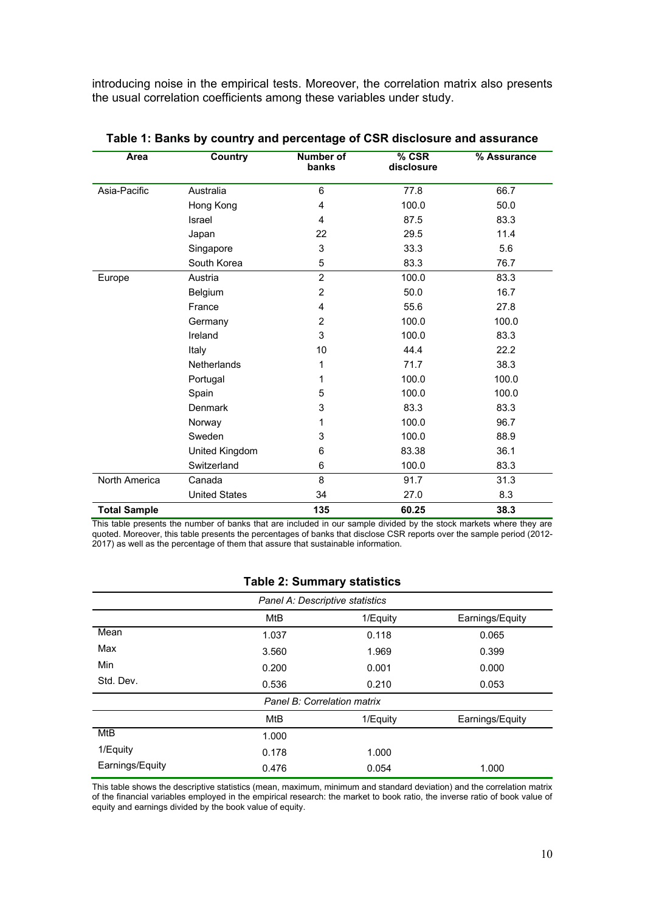introducing noise in the empirical tests. Moreover, the correlation matrix also presents the usual correlation coefficients among these variables under study.

| Area                | <b>Country</b>       | Number of<br>banks | $%$ CSR<br>disclosure | % Assurance |
|---------------------|----------------------|--------------------|-----------------------|-------------|
| Asia-Pacific        | Australia            | 6                  | 77.8                  | 66.7        |
|                     | Hong Kong            | 4                  | 100.0                 | 50.0        |
|                     | Israel               | 4                  | 87.5                  | 83.3        |
|                     | Japan                | 22                 | 29.5                  | 11.4        |
|                     | Singapore            | 3                  | 33.3                  | 5.6         |
|                     | South Korea          | 5                  | 83.3                  | 76.7        |
| Europe              | Austria              | $\overline{2}$     | 100.0                 | 83.3        |
|                     | Belgium              | $\overline{2}$     | 50.0                  | 16.7        |
|                     | France               | 4                  | 55.6                  | 27.8        |
|                     | Germany              | $\overline{2}$     | 100.0                 | 100.0       |
|                     | Ireland              | 3                  | 100.0                 | 83.3        |
|                     | Italy                | 10                 | 44.4                  | 22.2        |
|                     | <b>Netherlands</b>   | 1                  | 71.7                  | 38.3        |
|                     | Portugal             | 1                  | 100.0                 | 100.0       |
|                     | Spain                | 5                  | 100.0                 | 100.0       |
|                     | <b>Denmark</b>       | 3                  | 83.3                  | 83.3        |
|                     | Norway               | 1                  | 100.0                 | 96.7        |
|                     | Sweden               | 3                  | 100.0                 | 88.9        |
|                     | United Kingdom       | 6                  | 83.38                 | 36.1        |
|                     | Switzerland          | 6                  | 100.0                 | 83.3        |
| North America       | Canada               | 8                  | 91.7                  | 31.3        |
|                     | <b>United States</b> | 34                 | 27.0                  | 8.3         |
| <b>Total Sample</b> |                      | 135                | 60.25                 | 38.3        |

# **Table 1: Banks by country and percentage of CSR disclosure and assurance**

This table presents the number of banks that are included in our sample divided by the stock markets where they are quoted. Moreover, this table presents the percentages of banks that disclose CSR reports over the sample period (2012- 2017) as well as the percentage of them that assure that sustainable information.

#### **Table 2: Summary statistics**

| Panel A: Descriptive statistics |       |          |                 |  |  |
|---------------------------------|-------|----------|-----------------|--|--|
|                                 | MtB   | 1/Equity | Earnings/Equity |  |  |
| Mean                            | 1.037 | 0.118    | 0.065           |  |  |
| Max                             | 3.560 | 1.969    | 0.399           |  |  |
| Min                             | 0.200 | 0.001    | 0.000           |  |  |
| Std. Dev.                       | 0.536 | 0.210    | 0.053           |  |  |
| Panel B: Correlation matrix     |       |          |                 |  |  |
|                                 | MtB   | 1/Equity | Earnings/Equity |  |  |
| <b>MtB</b>                      | 1.000 |          |                 |  |  |
| 1/Equity                        | 0.178 | 1.000    |                 |  |  |
| Earnings/Equity                 | 0.476 | 0.054    | 1.000           |  |  |

This table shows the descriptive statistics (mean, maximum, minimum and standard deviation) and the correlation matrix of the financial variables employed in the empirical research: the market to book ratio, the inverse ratio of book value of equity and earnings divided by the book value of equity.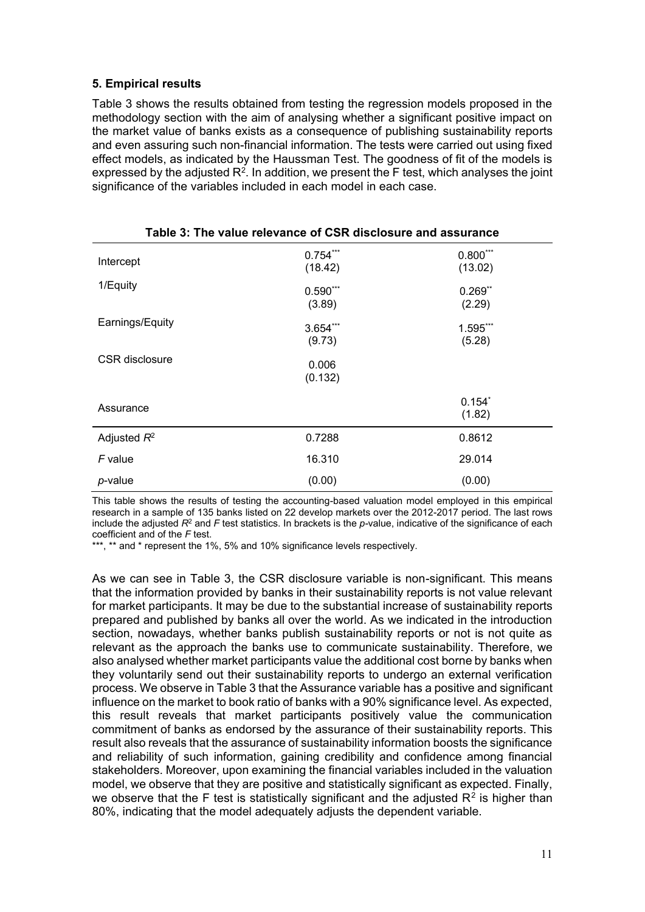## **5. Empirical results**

Table 3 shows the results obtained from testing the regression models proposed in the methodology section with the aim of analysing whether a significant positive impact on the market value of banks exists as a consequence of publishing sustainability reports and even assuring such non-financial information. The tests were carried out using fixed effect models, as indicated by the Haussman Test. The goodness of fit of the models is expressed by the adjusted  $R^2$ . In addition, we present the F test, which analyses the joint significance of the variables included in each model in each case.

| Table 3: The value relevance of CSR disclosure and assurance |                       |                       |  |  |
|--------------------------------------------------------------|-----------------------|-----------------------|--|--|
| Intercept                                                    | $0.754***$<br>(18.42) | $0.800***$<br>(13.02) |  |  |
| 1/Equity                                                     | $0.590***$<br>(3.89)  | $0.269**$<br>(2.29)   |  |  |
| Earnings/Equity                                              | 3.654***<br>(9.73)    | 1.595***<br>(5.28)    |  |  |
| <b>CSR</b> disclosure                                        | 0.006<br>(0.132)      |                       |  |  |
| Assurance                                                    |                       | $0.154*$<br>(1.82)    |  |  |
| Adjusted $R^2$                                               | 0.7288                | 0.8612                |  |  |
| F value                                                      | 16.310                | 29.014                |  |  |
| <i>p</i> -value                                              | (0.00)                | (0.00)                |  |  |

This table shows the results of testing the accounting-based valuation model employed in this empirical research in a sample of 135 banks listed on 22 develop markets over the 2012-2017 period. The last rows include the adjusted *R*<sup>2</sup> and *F* test statistics. In brackets is the *p-*value, indicative of the significance of each coefficient and of the *F* test.

\*\*\*, \*\* and \* represent the 1%, 5% and 10% significance levels respectively.

As we can see in Table 3, the CSR disclosure variable is non-significant. This means that the information provided by banks in their sustainability reports is not value relevant for market participants. It may be due to the substantial increase of sustainability reports prepared and published by banks all over the world. As we indicated in the introduction section, nowadays, whether banks publish sustainability reports or not is not quite as relevant as the approach the banks use to communicate sustainability. Therefore, we also analysed whether market participants value the additional cost borne by banks when they voluntarily send out their sustainability reports to undergo an external verification process. We observe in Table 3 that the Assurance variable has a positive and significant influence on the market to book ratio of banks with a 90% significance level. As expected, this result reveals that market participants positively value the communication commitment of banks as endorsed by the assurance of their sustainability reports. This result also reveals that the assurance of sustainability information boosts the significance and reliability of such information, gaining credibility and confidence among financial stakeholders. Moreover, upon examining the financial variables included in the valuation model, we observe that they are positive and statistically significant as expected. Finally, we observe that the F test is statistically significant and the adjusted  $R^2$  is higher than 80%, indicating that the model adequately adjusts the dependent variable.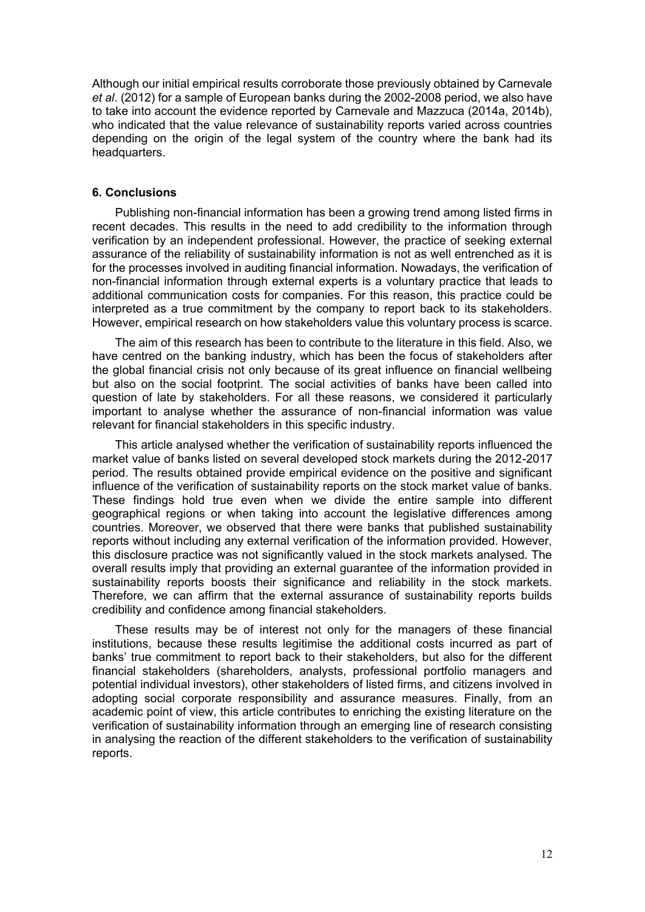Although our initial empirical results corroborate those previously obtained by Carnevale *et al*. (2012) for a sample of European banks during the 2002-2008 period, we also have to take into account the evidence reported by Carnevale and Mazzuca (2014a, 2014b), who indicated that the value relevance of sustainability reports varied across countries depending on the origin of the legal system of the country where the bank had its headquarters.

#### **6. Conclusions**

Publishing non-financial information has been a growing trend among listed firms in recent decades. This results in the need to add credibility to the information through verification by an independent professional. However, the practice of seeking external assurance of the reliability of sustainability information is not as well entrenched as it is for the processes involved in auditing financial information. Nowadays, the verification of non-financial information through external experts is a voluntary practice that leads to additional communication costs for companies. For this reason, this practice could be interpreted as a true commitment by the company to report back to its stakeholders. However, empirical research on how stakeholders value this voluntary process is scarce.

The aim of this research has been to contribute to the literature in this field. Also, we have centred on the banking industry, which has been the focus of stakeholders after the global financial crisis not only because of its great influence on financial wellbeing but also on the social footprint. The social activities of banks have been called into question of late by stakeholders. For all these reasons, we considered it particularly important to analyse whether the assurance of non-financial information was value relevant for financial stakeholders in this specific industry.

This article analysed whether the verification of sustainability reports influenced the market value of banks listed on several developed stock markets during the 2012-2017 period. The results obtained provide empirical evidence on the positive and significant influence of the verification of sustainability reports on the stock market value of banks. These findings hold true even when we divide the entire sample into different geographical regions or when taking into account the legislative differences among countries. Moreover, we observed that there were banks that published sustainability reports without including any external verification of the information provided. However, this disclosure practice was not significantly valued in the stock markets analysed. The overall results imply that providing an external guarantee of the information provided in sustainability reports boosts their significance and reliability in the stock markets. Therefore, we can affirm that the external assurance of sustainability reports builds credibility and confidence among financial stakeholders.

These results may be of interest not only for the managers of these financial institutions, because these results legitimise the additional costs incurred as part of banks' true commitment to report back to their stakeholders, but also for the different financial stakeholders (shareholders, analysts, professional portfolio managers and potential individual investors), other stakeholders of listed firms, and citizens involved in adopting social corporate responsibility and assurance measures. Finally, from an academic point of view, this article contributes to enriching the existing literature on the verification of sustainability information through an emerging line of research consisting in analysing the reaction of the different stakeholders to the verification of sustainability reports.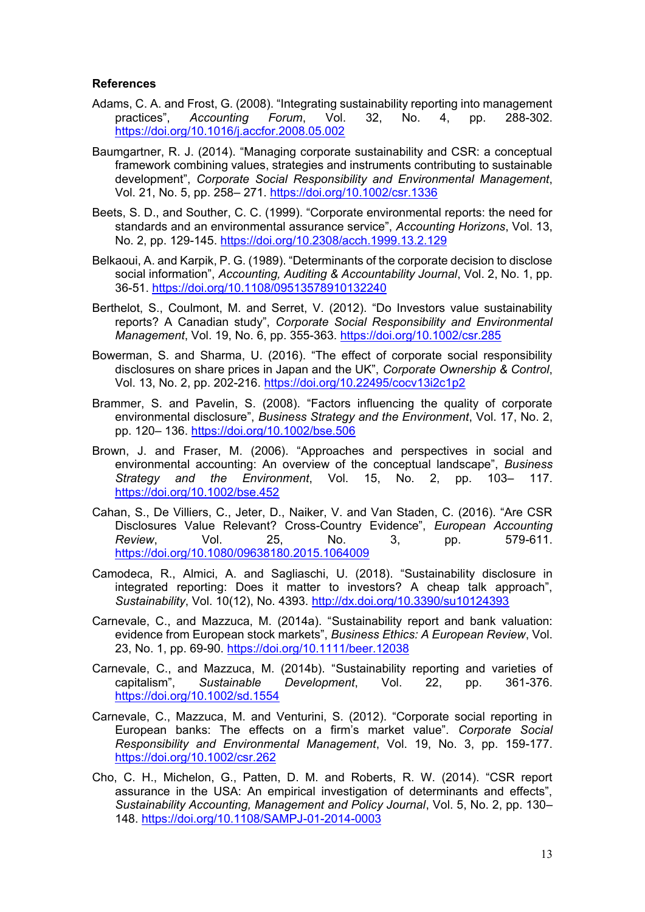#### **References**

- Adams, C. A. and Frost, G. (2008). "Integrating sustainability reporting into management practices", *Accounting Forum*, Vol. 32, No. 4, pp. 288-302. https://doi.org/10.1016/j.accfor.2008.05.002
- Baumgartner, R. J. (2014). "Managing corporate sustainability and CSR: a conceptual framework combining values, strategies and instruments contributing to sustainable development", *Corporate Social Responsibility and Environmental Management*, Vol. 21, No. 5, pp. 258– 271. https://doi.org/10.1002/csr.1336
- Beets, S. D., and Souther, C. C. (1999). "Corporate environmental reports: the need for standards and an environmental assurance service", *Accounting Horizons*, Vol. 13, No. 2, pp. 129-145. https://doi.org/10.2308/acch.1999.13.2.129
- Belkaoui, A. and Karpik, P. G. (1989). "Determinants of the corporate decision to disclose social information", *Accounting, Auditing & Accountability Journal*, Vol. 2, No. 1, pp. 36-51. https://doi.org/10.1108/09513578910132240
- Berthelot, S., Coulmont, M. and Serret, V. (2012). "Do Investors value sustainability reports? A Canadian study", *Corporate Social Responsibility and Environmental Management*, Vol. 19, No. 6, pp. 355-363. https://doi.org/10.1002/csr.285
- Bowerman, S. and Sharma, U. (2016). "The effect of corporate social responsibility disclosures on share prices in Japan and the UK", *Corporate Ownership & Control*, Vol. 13, No. 2, pp. 202-216. https://doi.org/10.22495/cocv13i2c1p2
- Brammer, S. and Pavelin, S. (2008). "Factors influencing the quality of corporate environmental disclosure", *Business Strategy and the Environment*, Vol. 17, No. 2, pp. 120– 136. https://doi.org/10.1002/bse.506
- Brown, J. and Fraser, M. (2006). "Approaches and perspectives in social and environmental accounting: An overview of the conceptual landscape", *Business Strategy and the Environment*, Vol. 15, No. 2, pp. 103– 117. https://doi.org/10.1002/bse.452
- Cahan, S., De Villiers, C., Jeter, D., Naiker, V. and Van Staden, C. (2016). "Are CSR Disclosures Value Relevant? Cross-Country Evidence", *European Accounting Review*, Vol. 25, No. 3, pp. 579-611. https://doi.org/10.1080/09638180.2015.1064009
- Camodeca, R., Almici, A. and Sagliaschi, U. (2018). "Sustainability disclosure in integrated reporting: Does it matter to investors? A cheap talk approach", *Sustainability*, Vol. 10(12), No. 4393. http://dx.doi.org/10.3390/su10124393
- Carnevale, C., and Mazzuca, M. (2014a). "Sustainability report and bank valuation: evidence from European stock markets", *Business Ethics: A European Review*, Vol. 23, No. 1, pp. 69-90. https://doi.org/10.1111/beer.12038
- Carnevale, C., and Mazzuca, M. (2014b). "Sustainability reporting and varieties of capitalism", *Sustainable Development*, Vol. 22, pp. 361-376. https://doi.org/10.1002/sd.1554
- Carnevale, C., Mazzuca, M. and Venturini, S. (2012). "Corporate social reporting in European banks: The effects on a firm's market value". *Corporate Social Responsibility and Environmental Management*, Vol. 19, No. 3, pp. 159-177. https://doi.org/10.1002/csr.262
- Cho, C. H., Michelon, G., Patten, D. M. and Roberts, R. W. (2014). "CSR report assurance in the USA: An empirical investigation of determinants and effects", *Sustainability Accounting, Management and Policy Journal*, Vol. 5, No. 2, pp. 130– 148. https://doi.org/10.1108/SAMPJ-01-2014-0003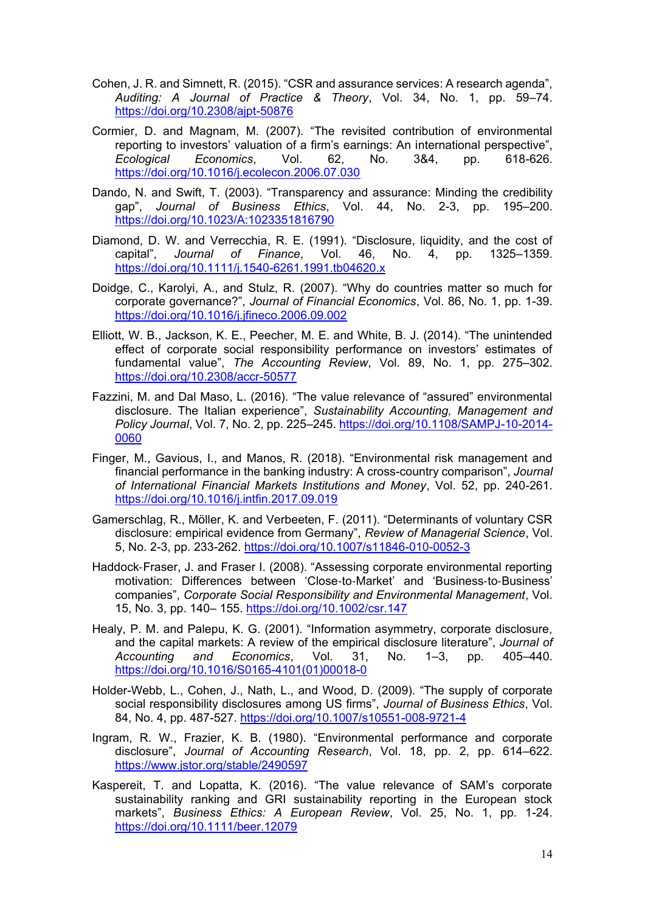- Cohen, J. R. and Simnett, R. (2015). "CSR and assurance services: A research agenda", *Auditing: A Journal of Practice & Theory*, Vol. 34, No. 1, pp. 59–74. https://doi.org/10.2308/ajpt-50876
- Cormier, D. and Magnam, M. (2007). "The revisited contribution of environmental reporting to investors' valuation of a firm's earnings: An international perspective", *Ecological Economics*, Vol. 62, No. 3&4, pp. 618-626. https://doi.org/10.1016/j.ecolecon.2006.07.030
- Dando, N. and Swift, T. (2003). "Transparency and assurance: Minding the credibility gap", *Journal of Business Ethics*, Vol. 44, No. 2-3, pp. 195–200. https://doi.org/10.1023/A:1023351816790
- Diamond, D. W. and Verrecchia, R. E. (1991). "Disclosure, liquidity, and the cost of capital", *Journal of Finance*, Vol. 46, No. 4, pp. 1325–1359. https://doi.org/10.1111/j.1540-6261.1991.tb04620.x
- Doidge, C., Karolyi, A., and Stulz, R. (2007). "Why do countries matter so much for corporate governance?", *Journal of Financial Economics*, Vol. 86, No. 1, pp. 1-39. https://doi.org/10.1016/j.jfineco.2006.09.002
- Elliott, W. B., Jackson, K. E., Peecher, M. E. and White, B. J. (2014). "The unintended effect of corporate social responsibility performance on investors' estimates of fundamental value", *The Accounting Review*, Vol. 89, No. 1, pp. 275–302. https://doi.org/10.2308/accr-50577
- Fazzini, M. and Dal Maso, L. (2016). "The value relevance of "assured" environmental disclosure. The Italian experience", *Sustainability Accounting, Management and Policy Journal*, Vol. 7, No. 2, pp. 225–245. https://doi.org/10.1108/SAMPJ-10-2014- 0060
- Finger, M., Gavious, I., and Manos, R. (2018). "Environmental risk management and financial performance in the banking industry: A cross-country comparison", *Journal of International Financial Markets Institutions and Money*, Vol. 52, pp. 240-261. https://doi.org/10.1016/j.intfin.2017.09.019
- Gamerschlag, R., Möller, K. and Verbeeten, F. (2011). "Determinants of voluntary CSR disclosure: empirical evidence from Germany", *Review of Managerial Science*, Vol. 5, No. 2-3, pp. 233-262. https://doi.org/10.1007/s11846-010-0052-3
- Haddock-Fraser, J. and Fraser I. (2008). "Assessing corporate environmental reporting motivation: Differences between 'Close-to-Market' and 'Business-to-Business' companies", *Corporate Social Responsibility and Environmental Management*, Vol. 15, No. 3, pp. 140– 155. https://doi.org/10.1002/csr.147
- Healy, P. M. and Palepu, K. G. (2001). "Information asymmetry, corporate disclosure, and the capital markets: A review of the empirical disclosure literature", *Journal of Accounting and Economics*, Vol. 31, No. 1–3, pp. 405–440. https://doi.org/10.1016/S0165-4101(01)00018-0
- Holder-Webb, L., Cohen, J., Nath, L., and Wood, D. (2009). "The supply of corporate social responsibility disclosures among US firms", *Journal of Business Ethics*, Vol. 84, No. 4, pp. 487-527. https://doi.org/10.1007/s10551-008-9721-4
- Ingram, R. W., Frazier, K. B. (1980). "Environmental performance and corporate disclosure", *Journal of Accounting Research*, Vol. 18, pp. 2, pp. 614–622. https://www.jstor.org/stable/2490597
- Kaspereit, T. and Lopatta, K. (2016). "The value relevance of SAM's corporate sustainability ranking and GRI sustainability reporting in the European stock markets", *Business Ethics: A European Review*, Vol. 25, No. 1, pp. 1-24. https://doi.org/10.1111/beer.12079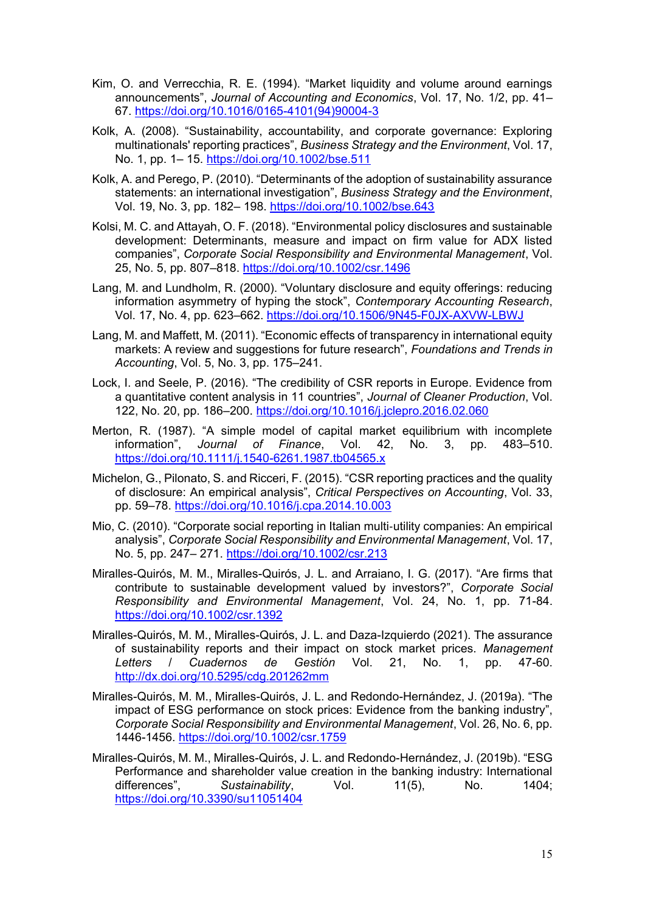- Kim, O. and Verrecchia, R. E. (1994). "Market liquidity and volume around earnings announcements", *Journal of Accounting and Economics*, Vol. 17, No. 1/2, pp. 41– 67. https://doi.org/10.1016/0165-4101(94)90004-3
- Kolk, A. (2008). "Sustainability, accountability, and corporate governance: Exploring multinationals' reporting practices", *Business Strategy and the Environment*, Vol. 17, No. 1, pp. 1– 15. https://doi.org/10.1002/bse.511
- Kolk, A. and Perego, P. (2010). "Determinants of the adoption of sustainability assurance statements: an international investigation", *Business Strategy and the Environment*, Vol. 19, No. 3, pp. 182– 198. https://doi.org/10.1002/bse.643
- Kolsi, M. C. and Attayah, O. F. (2018). "Environmental policy disclosures and sustainable development: Determinants, measure and impact on firm value for ADX listed companies", *Corporate Social Responsibility and Environmental Management*, Vol. 25, No. 5, pp. 807–818. https://doi.org/10.1002/csr.1496
- Lang, M. and Lundholm, R. (2000). "Voluntary disclosure and equity offerings: reducing information asymmetry of hyping the stock", *Contemporary Accounting Research*, Vol. 17, No. 4, pp. 623–662. https://doi.org/10.1506/9N45-F0JX-AXVW-LBWJ
- Lang, M. and Maffett, M. (2011). "Economic effects of transparency in international equity markets: A review and suggestions for future research", *Foundations and Trends in Accounting*, Vol. 5, No. 3, pp. 175–241.
- Lock, I. and Seele, P. (2016). "The credibility of CSR reports in Europe. Evidence from a quantitative content analysis in 11 countries", *Journal of Cleaner Production*, Vol. 122, No. 20, pp. 186–200. https://doi.org/10.1016/j.jclepro.2016.02.060
- Merton, R. (1987). "A simple model of capital market equilibrium with incomplete information", *Journal of Finance*, Vol. 42, No. 3, pp. 483–510. https://doi.org/10.1111/j.1540-6261.1987.tb04565.x
- Michelon, G., Pilonato, S. and Ricceri, F. (2015). "CSR reporting practices and the quality of disclosure: An empirical analysis", *Critical Perspectives on Accounting*, Vol. 33, pp. 59–78. https://doi.org/10.1016/j.cpa.2014.10.003
- Mio, C. (2010). "Corporate social reporting in Italian multi-utility companies: An empirical analysis", *Corporate Social Responsibility and Environmental Management*, Vol. 17, No. 5, pp. 247– 271. https://doi.org/10.1002/csr.213
- Miralles-Quirós, M. M., Miralles-Quirós, J. L. and Arraiano, I. G. (2017). "Are firms that contribute to sustainable development valued by investors?", *Corporate Social Responsibility and Environmental Management*, Vol. 24, No. 1, pp. 71-84. https://doi.org/10.1002/csr.1392
- Miralles-Quirós, M. M., Miralles-Quirós, J. L. and Daza-Izquierdo (2021). The assurance of sustainability reports and their impact on stock market prices. *Management Letters* / *Cuadernos de Gestión* Vol. 21, No. 1, pp. 47-60. http://dx.doi.org/10.5295/cdg.201262mm
- Miralles-Quirós, M. M., Miralles-Quirós, J. L. and Redondo-Hernández, J. (2019a). "The impact of ESG performance on stock prices: Evidence from the banking industry", *Corporate Social Responsibility and Environmental Management*, Vol. 26, No. 6, pp. 1446-1456. https://doi.org/10.1002/csr.1759
- Miralles-Quirós, M. M., Miralles-Quirós, J. L. and Redondo-Hernández, J. (2019b). "ESG Performance and shareholder value creation in the banking industry: International<br>differences". Sustainability, Vol. 11(5), No. 1404; Sustainability, Vol. 11(5), No. 1404; https://doi.org/10.3390/su11051404